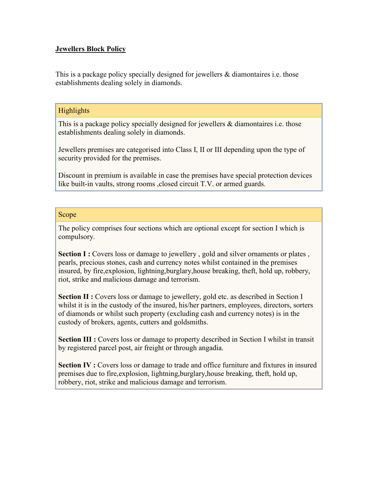# **Jewellers Block Policy**

This is a package policy specially designed for jewellers  $\&$  diamontaires i.e. those establishments dealing solely in diamonds.

# **Highlights**

This is a package policy specially designed for jewellers & diamontaires i.e. those establishments dealing solely in diamonds.

Jewellers premises are categorised into Class I, II or III depending upon the type of security provided for the premises.

Discount in premium is available in case the premises have special protection devices like built-in vaults, strong rooms ,closed circuit T.V. or armed guards.

### Scope

The policy comprises four sections which are optional except for section I which is compulsory.

**Section I :** Covers loss or damage to jewellery, gold and silver ornaments or plates, pearls, precious stones, cash and currency notes whilst contained in the premises insured, by fire,explosion, lightning,burglary,house breaking, theft, hold up, robbery, riot, strike and malicious damage and terrorism.

**Section II :** Covers loss or damage to jewellery, gold etc. as described in Section I whilst it is in the custody of the insured, his/her partners, employees, directors, sorters of diamonds or whilst such property (excluding cash and currency notes) is in the custody of brokers, agents, cutters and goldsmiths.

**Section III :** Covers loss or damage to property described in Section I whilst in transit by registered parcel post, air freight or through angadia.

**Section IV :** Covers loss or damage to trade and office furniture and fixtures in insured premises due to fire,explosion, lightning,burglary,house breaking, theft, hold up, robbery, riot, strike and malicious damage and terrorism.